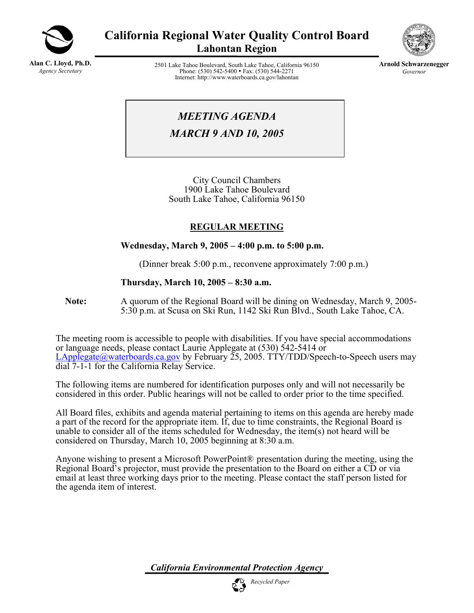

**California Regional Water Quality Control Board Lahontan Region** 

**Alan C. Lloyd, Ph.D.** *Agency Secretary*

2501 Lake Tahoe Boulevard, South Lake Tahoe, California 96150 Phone: (530) 542-5400 • Fax: (530) 544-2271 Internet: http://www.waterboards.ca.gov/lahontan



**Arnold Schwarzenegger** *Governor* 

*MEETING AGENDA* 

*MARCH 9 AND 10, 2005* 

City Council Chambers 1900 Lake Tahoe Boulevard South Lake Tahoe, California 96150

# **REGULAR MEETING**

# **Wednesday, March 9, 2005 – 4:00 p.m. to 5:00 p.m.**

(Dinner break 5:00 p.m., reconvene approximately 7:00 p.m.)

# **Thursday, March 10, 2005 – 8:30 a.m.**

**Note:** A quorum of the Regional Board will be dining on Wednesday, March 9, 2005- 5:30 p.m. at Scusa on Ski Run, 1142 Ski Run Blvd., South Lake Tahoe, CA.

The meeting room is accessible to people with disabilities. If you have special accommodations or language needs, please contact Laurie Applegate at (530) 542-5414 or [LApplegate@waterboards.ca.gov](mailto:lapplegate@waterboards.ca.gov) by February 25, 2005. TTY/TDD/Speech-to-Speech users may dial 7-1-1 for the California Relay Service.

The following items are numbered for identification purposes only and will not necessarily be considered in this order. Public hearings will not be called to order prior to the time specified.

All Board files, exhibits and agenda material pertaining to items on this agenda are hereby made a part of the record for the appropriate item. If, due to time constraints, the Regional Board is unable to consider all of the items scheduled for Wednesday, the item(s) not heard will be considered on Thursday, March 10, 2005 beginning at 8:30 a.m.

Anyone wishing to present a Microsoft PowerPoint® presentation during the meeting, using the Regional Board's projector, must provide the presentation to the Board on either a CD or via email at least three working days prior to the meeting. Please contact the staff person listed for the agenda item of interest.

*California Environmental Protection Agency*

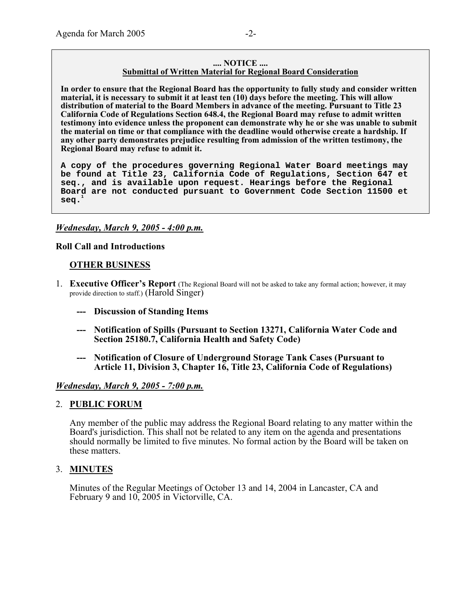#### **.... NOTICE .... Submittal of Written Material for Regional Board Consideration**

**In order to ensure that the Regional Board has the opportunity to fully study and consider written material, it is necessary to submit it at least ten (10) days before the meeting. This will allow distribution of material to the Board Members in advance of the meeting. Pursuant to Title 23 California Code of Regulations Section 648.4, the Regional Board may refuse to admit written testimony into evidence unless the proponent can demonstrate why he or she was unable to submit the material on time or that compliance with the deadline would otherwise create a hardship. If any other party demonstrates prejudice resulting from admission of the written testimony, the Regional Board may refuse to admit it.** 

**A copy of the procedures governing Regional Water Board meetings may be found at Title 23, California Code of Regulations, Section 647 et seq., and is available upon request. Hearings before the Regional Board are not conducted pursuant to Government Code Section 11500 et seq.<sup>1</sup>**

#### *Wednesday, March 9, 2005 - 4:00 p.m.*

#### **Roll Call and Introductions**

#### **OTHER BUSINESS**

- 1. **Executive Officer's Report** (The Regional Board will not be asked to take any formal action; however, it may provide direction to staff.) (Harold Singer)
	- **--- Discussion of Standing Items**
	- **--- Notification of Spills (Pursuant to Section 13271, California Water Code and Section 25180.7, California Health and Safety Code)**
	- **--- Notification of Closure of Underground Storage Tank Cases (Pursuant to Article 11, Division 3, Chapter 16, Title 23, California Code of Regulations)**

#### *Wednesday, March 9, 2005 - 7:00 p.m.*

#### 2. **PUBLIC FORUM**

Any member of the public may address the Regional Board relating to any matter within the Board's jurisdiction. This shall not be related to any item on the agenda and presentations should normally be limited to five minutes. No formal action by the Board will be taken on these matters.

#### 3. **MINUTES**

Minutes of the Regular Meetings of October 13 and 14, 2004 in Lancaster, CA and February 9 and 10, 2005 in Victorville, CA.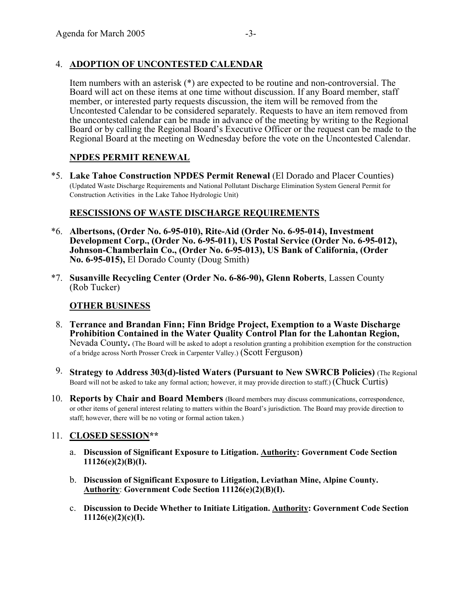# 4. **ADOPTION OF UNCONTESTED CALENDAR**

Item numbers with an asterisk (\*) are expected to be routine and non-controversial. The Board will act on these items at one time without discussion. If any Board member, staff member, or interested party requests discussion, the item will be removed from the Uncontested Calendar to be considered separately. Requests to have an item removed from the uncontested calendar can be made in advance of the meeting by writing to the Regional Board or by calling the Regional Board's Executive Officer or the request can be made to the Regional Board at the meeting on Wednesday before the vote on the Uncontested Calendar.

### **NPDES PERMIT RENEWAL**

\*5. **Lake Tahoe Construction NPDES Permit Renewal** (El Dorado and Placer Counties) (Updated Waste Discharge Requirements and National Pollutant Discharge Elimination System General Permit for Construction Activities in the Lake Tahoe Hydrologic Unit)

### **RESCISSIONS OF WASTE DISCHARGE REQUIREMENTS**

- \*6. **Albertsons, (Order No. 6-95-010), Rite-Aid (Order No. 6-95-014), Investment Development Corp., (Order No. 6-95-011), US Postal Service (Order No. 6-95-012), Johnson-Chamberlain Co., (Order No. 6-95-013), US Bank of California, (Order No. 6-95-015),** El Dorado County (Doug Smith)
- \*7. **Susanville Recycling Center (Order No. 6-86-90), Glenn Roberts**, Lassen County (Rob Tucker)

#### **OTHER BUSINESS**

- 8. **Terrance and Brandan Finn; Finn Bridge Project, Exemption to a Waste Discharge Prohibition Contained in the Water Quality Control Plan for the Lahontan Region,**  Nevada County**.** (The Board will be asked to adopt a resolution granting a prohibition exemption for the construction of a bridge across North Prosser Creek in Carpenter Valley.) (Scott Ferguson)
- 9. **Strategy to Address 303(d)-listed Waters (Pursuant to New SWRCB Policies)** (The Regional Board will not be asked to take any formal action; however, it may provide direction to staff.) (Chuck Curtis)
- 10. **Reports by Chair and Board Members** (Board members may discuss communications, correspondence, or other items of general interest relating to matters within the Board's jurisdiction. The Board may provide direction to staff; however, there will be no voting or formal action taken.)

# 11. **CLOSED SESSION\*\***

- a. **Discussion of Significant Exposure to Litigation. Authority: Government Code Section 11126(e)(2)(B)(I).**
- b. **Discussion of Significant Exposure to Litigation, Leviathan Mine, Alpine County. Authority**: **Government Code Section 11126(e)(2)(B)(I).**
- c. **Discussion to Decide Whether to Initiate Litigation. Authority: Government Code Section 11126(e)(2)(c)(I).**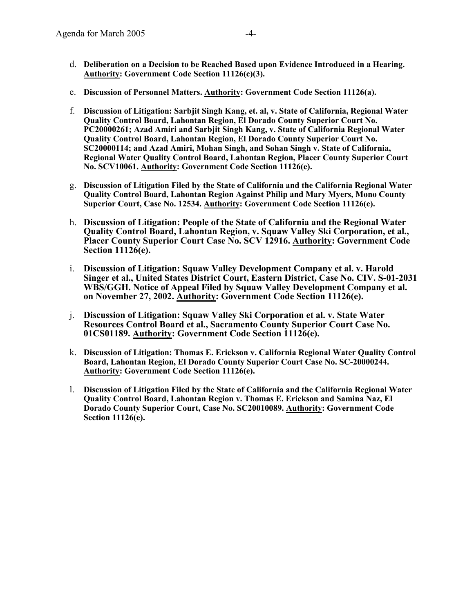- d. **Deliberation on a Decision to be Reached Based upon Evidence Introduced in a Hearing. Authority: Government Code Section 11126(c)(3).**
- e. **Discussion of Personnel Matters. Authority: Government Code Section 11126(a).**
- f. **Discussion of Litigation: Sarbjit Singh Kang, et. al, v. State of California, Regional Water Quality Control Board, Lahontan Region, El Dorado County Superior Court No. PC20000261; Azad Amiri and Sarbjit Singh Kang, v. State of California Regional Water Quality Control Board, Lahontan Region, El Dorado County Superior Court No. SC20000114; and Azad Amiri, Mohan Singh, and Sohan Singh v. State of California, Regional Water Quality Control Board, Lahontan Region, Placer County Superior Court No. SCV10061. Authority: Government Code Section 11126(e).**
- g. **Discussion of Litigation Filed by the State of California and the California Regional Water Quality Control Board, Lahontan Region Against Philip and Mary Myers, Mono County Superior Court, Case No. 12534. Authority: Government Code Section 11126(e).**
- h. **Discussion of Litigation: People of the State of California and the Regional Water Quality Control Board, Lahontan Region, v. Squaw Valley Ski Corporation, et al., Placer County Superior Court Case No. SCV 12916. Authority: Government Code Section 11126(e).**
- i. **Discussion of Litigation: Squaw Valley Development Company et al. v. Harold Singer et al., United States District Court, Eastern District, Case No. CIV. S-01-2031 WBS/GGH. Notice of Appeal Filed by Squaw Valley Development Company et al. on November 27, 2002. Authority: Government Code Section 11126(e).**
- j. **Discussion of Litigation: Squaw Valley Ski Corporation et al. v. State Water Resources Control Board et al., Sacramento County Superior Court Case No. 01CS01189. Authority: Government Code Section 11126(e).**
- k. **Discussion of Litigation: Thomas E. Erickson v. California Regional Water Quality Control Board, Lahontan Region, El Dorado County Superior Court Case No. SC-20000244. Authority: Government Code Section 11126(e).**
- l. **Discussion of Litigation Filed by the State of California and the California Regional Water Quality Control Board, Lahontan Region v. Thomas E. Erickson and Samina Naz, El Dorado County Superior Court, Case No. SC20010089. Authority: Government Code Section 11126(e).**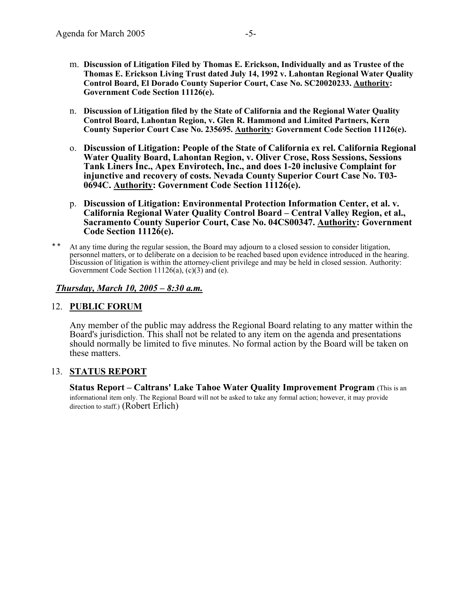- m. **Discussion of Litigation Filed by Thomas E. Erickson, Individually and as Trustee of the Thomas E. Erickson Living Trust dated July 14, 1992 v. Lahontan Regional Water Quality Control Board, El Dorado County Superior Court, Case No. SC20020233. Authority: Government Code Section 11126(e).**
- n. **Discussion of Litigation filed by the State of California and the Regional Water Quality Control Board, Lahontan Region, v. Glen R. Hammond and Limited Partners, Kern County Superior Court Case No. 235695. Authority: Government Code Section 11126(e).**
- o. **Discussion of Litigation: People of the State of California ex rel. California Regional Water Quality Board, Lahontan Region, v. Oliver Crose, Ross Sessions, Sessions Tank Liners Inc., Apex Envirotech, Inc., and does 1-20 inclusive Complaint for injunctive and recovery of costs. Nevada County Superior Court Case No. T03- 0694C. Authority: Government Code Section 11126(e).**
- p. **Discussion of Litigation: Environmental Protection Information Center, et al. v. California Regional Water Quality Control Board – Central Valley Region, et al., Sacramento County Superior Court, Case No. 04CS00347. Authority: Government Code Section 11126(e).**
- \*\* At any time during the regular session, the Board may adjourn to a closed session to consider litigation, personnel matters, or to deliberate on a decision to be reached based upon evidence introduced in the hearing. Discussion of litigation is within the attorney-client privilege and may be held in closed session. Authority: Government Code Section  $11126(a)$ , (c)(3) and (e).

#### *Thursday, March 10, 2005 – 8:30 a.m.*

### 12. **PUBLIC FORUM**

Any member of the public may address the Regional Board relating to any matter within the Board's jurisdiction. This shall not be related to any item on the agenda and presentations should normally be limited to five minutes. No formal action by the Board will be taken on these matters.

#### 13. **STATUS REPORT**

**Status Report – Caltrans' Lake Tahoe Water Quality Improvement Program** (This is an informational item only. The Regional Board will not be asked to take any formal action; however, it may provide direction to staff.) (Robert Erlich)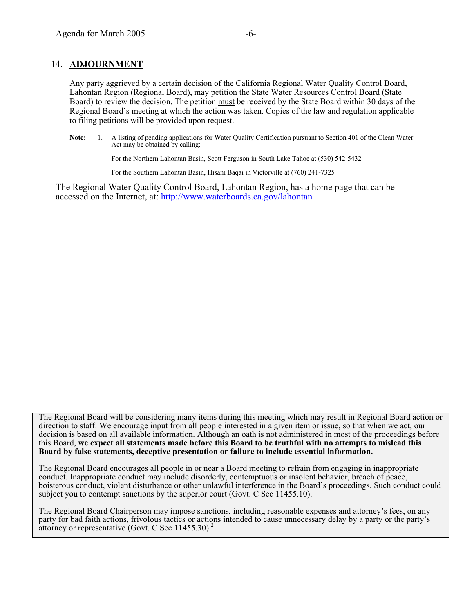#### 14. **ADJOURNMENT**

Any party aggrieved by a certain decision of the California Regional Water Quality Control Board, Lahontan Region (Regional Board), may petition the State Water Resources Control Board (State Board) to review the decision. The petition must be received by the State Board within 30 days of the Regional Board's meeting at which the action was taken. Copies of the law and regulation applicable to filing petitions will be provided upon request.

**Note:** 1. A listing of pending applications for Water Quality Certification pursuant to Section 401 of the Clean Water Act may be obtained by calling:

For the Northern Lahontan Basin, Scott Ferguson in South Lake Tahoe at (530) 542-5432

For the Southern Lahontan Basin, Hisam Baqai in Victorville at (760) 241-7325

The Regional Water Quality Control Board, Lahontan Region, has a home page that can be accessed on the Internet, at: http://www.waterboards.ca.gov/lahontan

The Regional Board will be considering many items during this meeting which may result in Regional Board action or direction to staff. We encourage input from all people interested in a given item or issue, so that when we act, our decision is based on all available information. Although an oath is not administered in most of the proceedings before this Board, **we expect all statements made before this Board to be truthful with no attempts to mislead this Board by false statements, deceptive presentation or failure to include essential information.** 

The Regional Board encourages all people in or near a Board meeting to refrain from engaging in inappropriate conduct. Inappropriate conduct may include disorderly, contemptuous or insolent behavior, breach of peace, boisterous conduct, violent disturbance or other unlawful interference in the Board's proceedings. Such conduct could subject you to contempt sanctions by the superior court (Govt. C Sec 11455.10).

The Regional Board Chairperson may impose sanctions, including reasonable expenses and attorney's fees, on any party for bad faith actions, frivolous tactics or actions intended to cause unnecessary delay by a party or the party's attorney or representative (Govt. C Sec 11455.30).<sup>2</sup>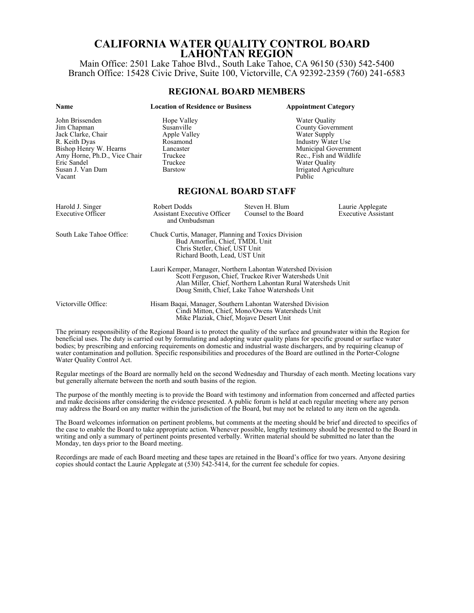# **CALIFORNIA WATER QUALITY CONTROL BOARD LAHONTAN REGION**

Main Office: 2501 Lake Tahoe Blvd., South Lake Tahoe, CA 96150 (530) 542-5400 Branch Office: 15428 Civic Drive, Suite 100, Victorville, CA 92392-2359 (760) 241-6583

#### **REGIONAL BOARD MEMBERS**

| <b>Name</b>                                                                                                                                                                  | <b>Location of Residence or Business</b>                                                                                                                                                                                            |                                        | <b>Appointment Category</b>                                                                                                                                                  |  |
|------------------------------------------------------------------------------------------------------------------------------------------------------------------------------|-------------------------------------------------------------------------------------------------------------------------------------------------------------------------------------------------------------------------------------|----------------------------------------|------------------------------------------------------------------------------------------------------------------------------------------------------------------------------|--|
| John Brissenden<br>Jim Chapman<br>Jack Clarke, Chair<br>R. Keith Dyas<br>Bishop Henry W. Hearns<br>Amy Horne, Ph.D., Vice Chair<br>Eric Sandel<br>Susan J. Van Dam<br>Vacant | Hope Valley<br>Susanville<br>Apple Valley<br>Rosamond<br>Lancaster<br>Truckee<br>Truckee<br><b>Barstow</b>                                                                                                                          | Public                                 | Water Quality<br><b>County Government</b><br>Water Supply<br>Industry Water Use<br>Municipal Government<br>Rec., Fish and Wildlife<br>Water Quality<br>Irrigated Agriculture |  |
|                                                                                                                                                                              | <b>REGIONAL BOARD STAFF</b>                                                                                                                                                                                                         |                                        |                                                                                                                                                                              |  |
| Harold J. Singer<br>Executive Officer                                                                                                                                        | Robert Dodds<br><b>Assistant Executive Officer</b><br>and Ombudsman                                                                                                                                                                 | Steven H. Blum<br>Counsel to the Board | Laurie Applegate<br><b>Executive Assistant</b>                                                                                                                               |  |
| South Lake Tahoe Office:                                                                                                                                                     | Chuck Curtis, Manager, Planning and Toxics Division<br>Bud Amorfini, Chief, TMDL Unit<br>Chris Stetler, Chief, UST Unit<br>Richard Booth, Lead, UST Unit                                                                            |                                        |                                                                                                                                                                              |  |
|                                                                                                                                                                              | Lauri Kemper, Manager, Northern Lahontan Watershed Division<br>Scott Ferguson, Chief, Truckee River Watersheds Unit<br>Alan Miller, Chief, Northern Lahontan Rural Watersheds Unit<br>Doug Smith, Chief, Lake Tahoe Watersheds Unit |                                        |                                                                                                                                                                              |  |
| Victorville Office:                                                                                                                                                          | Hisam Baqai, Manager, Southern Lahontan Watershed Division<br>Cindi Mitton, Chief, Mono/Owens Watersheds Unit<br>Mike Plaziak, Chief, Mojave Desert Unit                                                                            |                                        |                                                                                                                                                                              |  |

The primary responsibility of the Regional Board is to protect the quality of the surface and groundwater within the Region for beneficial uses. The duty is carried out by formulating and adopting water quality plans for specific ground or surface water bodies; by prescribing and enforcing requirements on domestic and industrial waste dischargers, and by requiring cleanup of water contamination and pollution. Specific responsibilities and procedures of the Board are outlined in the Porter-Cologne Water Quality Control Act.

Regular meetings of the Board are normally held on the second Wednesday and Thursday of each month. Meeting locations vary but generally alternate between the north and south basins of the region.

The purpose of the monthly meeting is to provide the Board with testimony and information from concerned and affected parties and make decisions after considering the evidence presented. A public forum is held at each regular meeting where any person may address the Board on any matter within the jurisdiction of the Board, but may not be related to any item on the agenda.

The Board welcomes information on pertinent problems, but comments at the meeting should be brief and directed to specifics of the case to enable the Board to take appropriate action. Whenever possible, lengthy testimony should be presented to the Board in writing and only a summary of pertinent points presented verbally. Written material should be submitted no later than the Monday, ten days prior to the Board meeting.

Recordings are made of each Board meeting and these tapes are retained in the Board's office for two years. Anyone desiring copies should contact the Laurie Applegate at (530) 542-5414, for the current fee schedule for copies.